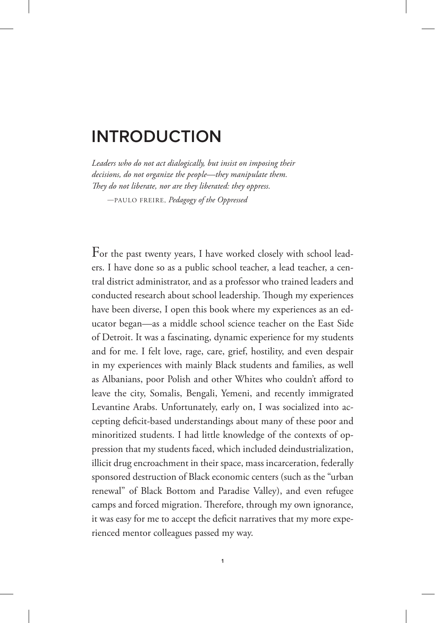# **Introduction**

*Leaders who do not act dialogically, but insist on imposing their decisions, do not organize the people—they manipulate them. They do not liberate, nor are they liberated: they oppress.* 

—Paulo Freire, *Pedagogy of the Oppressed*

For the past twenty years, I have worked closely with school leaders. I have done so as a public school teacher, a lead teacher, a central district administrator, and as a professor who trained leaders and conducted research about school leadership. Though my experiences have been diverse, I open this book where my experiences as an educator began—as a middle school science teacher on the East Side of Detroit. It was a fascinating, dynamic experience for my students and for me. I felt love, rage, care, grief, hostility, and even despair in my experiences with mainly Black students and families, as well as Albanians, poor Polish and other Whites who couldn't afford to leave the city, Somalis, Bengali, Yemeni, and recently immigrated Levantine Arabs. Unfortunately, early on, I was socialized into accepting deficit-based understandings about many of these poor and minoritized students. I had little knowledge of the contexts of oppression that my students faced, which included deindustrialization, illicit drug encroachment in their space, mass incarceration, federally sponsored destruction of Black economic centers (such as the "urban renewal" of Black Bottom and Paradise Valley), and even refugee camps and forced migration. Therefore, through my own ignorance, it was easy for me to accept the deficit narratives that my more experienced mentor colleagues passed my way.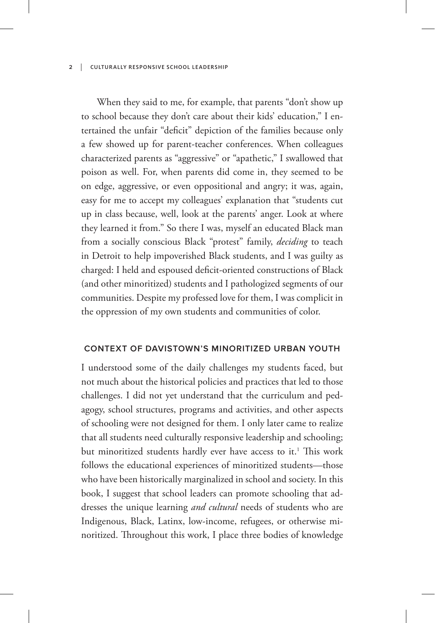When they said to me, for example, that parents "don't show up to school because they don't care about their kids' education," I entertained the unfair "deficit" depiction of the families because only a few showed up for parent-teacher conferences. When colleagues characterized parents as "aggressive" or "apathetic," I swallowed that poison as well. For, when parents did come in, they seemed to be on edge, aggressive, or even oppositional and angry; it was, again, easy for me to accept my colleagues' explanation that "students cut up in class because, well, look at the parents' anger. Look at where they learned it from." So there I was, myself an educated Black man from a socially conscious Black "protest" family, *deciding* to teach in Detroit to help impoverished Black students, and I was guilty as charged: I held and espoused deficit-oriented constructions of Black (and other minoritized) students and I pathologized segments of our communities. Despite my professed love for them, I was complicit in the oppression of my own students and communities of color.

#### **Context of Davistown's Minoritized Urban Youth**

I understood some of the daily challenges my students faced, but not much about the historical policies and practices that led to those challenges. I did not yet understand that the curriculum and pedagogy, school structures, programs and activities, and other aspects of schooling were not designed for them. I only later came to realize that all students need culturally responsive leadership and schooling; but minoritized students hardly ever have access to it.<sup>1</sup> This work follows the educational experiences of minoritized students—those who have been historically marginalized in school and society. In this book, I suggest that school leaders can promote schooling that addresses the unique learning *and cultural* needs of students who are Indigenous, Black, Latinx, low-income, refugees, or otherwise minoritized. Throughout this work, I place three bodies of knowledge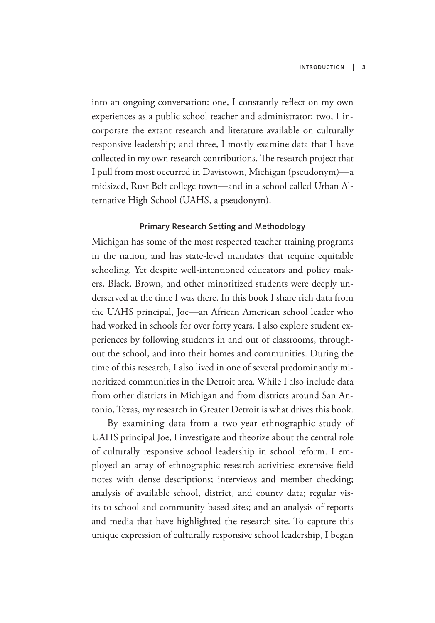into an ongoing conversation: one, I constantly reflect on my own experiences as a public school teacher and administrator; two, I incorporate the extant research and literature available on culturally responsive leadership; and three, I mostly examine data that I have collected in my own research contributions. The research project that I pull from most occurred in Davistown, Michigan (pseudonym)—a midsized, Rust Belt college town—and in a school called Urban Alternative High School (UAHS, a pseudonym).

### Primary Research Setting and Methodology

Michigan has some of the most respected teacher training programs in the nation, and has state-level mandates that require equitable schooling. Yet despite well-intentioned educators and policy makers, Black, Brown, and other minoritized students were deeply underserved at the time I was there. In this book I share rich data from the UAHS principal, Joe—an African American school leader who had worked in schools for over forty years. I also explore student experiences by following students in and out of classrooms, throughout the school, and into their homes and communities. During the time of this research, I also lived in one of several predominantly minoritized communities in the Detroit area. While I also include data from other districts in Michigan and from districts around San Antonio, Texas, my research in Greater Detroit is what drives this book.

By examining data from a two-year ethnographic study of UAHS principal Joe, I investigate and theorize about the central role of culturally responsive school leadership in school reform. I employed an array of ethnographic research activities: extensive field notes with dense descriptions; interviews and member checking; analysis of available school, district, and county data; regular visits to school and community-based sites; and an analysis of reports and media that have highlighted the research site. To capture this unique expression of culturally responsive school leadership, I began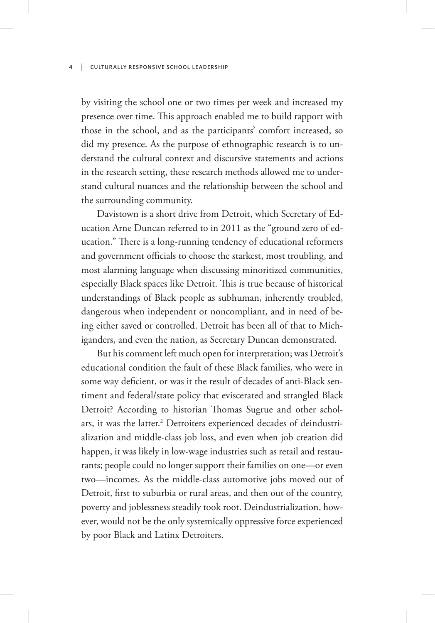by visiting the school one or two times per week and increased my presence over time. This approach enabled me to build rapport with those in the school, and as the participants' comfort increased, so did my presence. As the purpose of ethnographic research is to understand the cultural context and discursive statements and actions in the research setting, these research methods allowed me to understand cultural nuances and the relationship between the school and the surrounding community.

Davistown is a short drive from Detroit, which Secretary of Education Arne Duncan referred to in 2011 as the "ground zero of education." There is a long-running tendency of educational reformers and government officials to choose the starkest, most troubling, and most alarming language when discussing minoritized communities, especially Black spaces like Detroit. This is true because of historical understandings of Black people as subhuman, inherently troubled, dangerous when independent or noncompliant, and in need of being either saved or controlled. Detroit has been all of that to Michiganders, and even the nation, as Secretary Duncan demonstrated.

But his comment left much open for interpretation; was Detroit's educational condition the fault of these Black families, who were in some way deficient, or was it the result of decades of anti-Black sentiment and federal/state policy that eviscerated and strangled Black Detroit? According to historian Thomas Sugrue and other scholars, it was the latter.<sup>2</sup> Detroiters experienced decades of deindustrialization and middle-class job loss, and even when job creation did happen, it was likely in low-wage industries such as retail and restaurants; people could no longer support their families on one—or even two—incomes. As the middle-class automotive jobs moved out of Detroit, first to suburbia or rural areas, and then out of the country, poverty and joblessness steadily took root. Deindustrialization, however, would not be the only systemically oppressive force experienced by poor Black and Latinx Detroiters.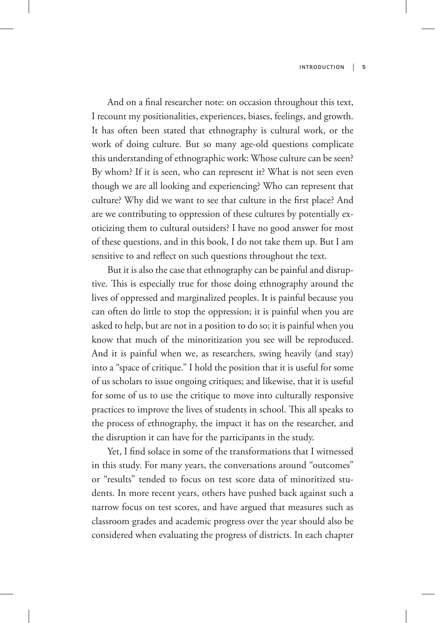And on a final researcher note: on occasion throughout this text, I recount my positionalities, experiences, biases, feelings, and growth. It has often been stated that ethnography is cultural work, or the work of doing culture. But so many age-old questions complicate this understanding of ethnographic work: Whose culture can be seen? By whom? If it is seen, who can represent it? What is not seen even though we are all looking and experiencing? Who can represent that culture? Why did we want to see that culture in the first place? And are we contributing to oppression of these cultures by potentially exoticizing them to cultural outsiders? I have no good answer for most of these questions, and in this book, I do not take them up. But I am sensitive to and reflect on such questions throughout the text.

But it is also the case that ethnography can be painful and disruptive. This is especially true for those doing ethnography around the lives of oppressed and marginalized peoples. It is painful because you can often do little to stop the oppression; it is painful when you are asked to help, but are not in a position to do so; it is painful when you know that much of the minoritization you see will be reproduced. And it is painful when we, as researchers, swing heavily (and stay) into a "space of critique." I hold the position that it is useful for some of us scholars to issue ongoing critiques; and likewise, that it is useful for some of us to use the critique to move into culturally responsive practices to improve the lives of students in school. This all speaks to the process of ethnography, the impact it has on the researcher, and the disruption it can have for the participants in the study.

Yet, I find solace in some of the transformations that I witnessed in this study. For many years, the conversations around "outcomes" or "results" tended to focus on test score data of minoritized students. In more recent years, others have pushed back against such a narrow focus on test scores, and have argued that measures such as classroom grades and academic progress over the year should also be considered when evaluating the progress of districts. In each chapter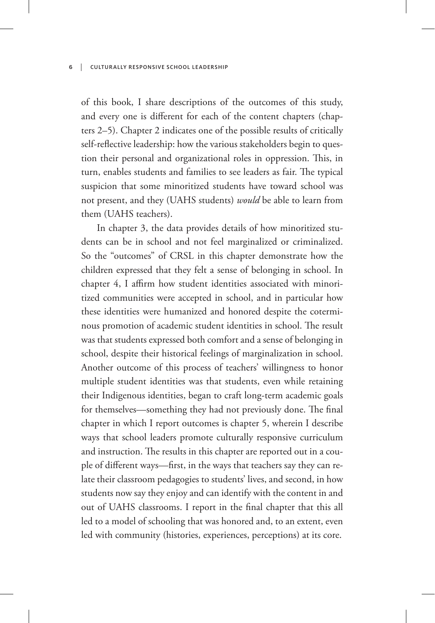of this book, I share descriptions of the outcomes of this study, and every one is different for each of the content chapters (chapters 2–5). Chapter 2 indicates one of the possible results of critically self-reflective leadership: how the various stakeholders begin to question their personal and organizational roles in oppression. This, in turn, enables students and families to see leaders as fair. The typical suspicion that some minoritized students have toward school was not present, and they (UAHS students) *would* be able to learn from them (UAHS teachers).

In chapter 3, the data provides details of how minoritized students can be in school and not feel marginalized or criminalized. So the "outcomes" of CRSL in this chapter demonstrate how the children expressed that they felt a sense of belonging in school. In chapter 4, I affirm how student identities associated with minoritized communities were accepted in school, and in particular how these identities were humanized and honored despite the coterminous promotion of academic student identities in school. The result was that students expressed both comfort and a sense of belonging in school, despite their historical feelings of marginalization in school. Another outcome of this process of teachers' willingness to honor multiple student identities was that students, even while retaining their Indigenous identities, began to craft long-term academic goals for themselves—something they had not previously done. The final chapter in which I report outcomes is chapter 5, wherein I describe ways that school leaders promote culturally responsive curriculum and instruction. The results in this chapter are reported out in a couple of different ways—first, in the ways that teachers say they can relate their classroom pedagogies to students' lives, and second, in how students now say they enjoy and can identify with the content in and out of UAHS classrooms. I report in the final chapter that this all led to a model of schooling that was honored and, to an extent, even led with community (histories, experiences, perceptions) at its core.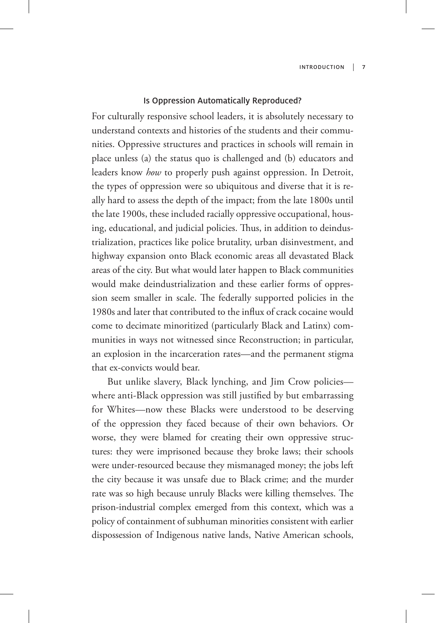#### Is Oppression Automatically Reproduced?

For culturally responsive school leaders, it is absolutely necessary to understand contexts and histories of the students and their communities. Oppressive structures and practices in schools will remain in place unless (a) the status quo is challenged and (b) educators and leaders know *how* to properly push against oppression. In Detroit, the types of oppression were so ubiquitous and diverse that it is really hard to assess the depth of the impact; from the late 1800s until the late 1900s, these included racially oppressive occupational, housing, educational, and judicial policies. Thus, in addition to deindustrialization, practices like police brutality, urban disinvestment, and highway expansion onto Black economic areas all devastated Black areas of the city. But what would later happen to Black communities would make deindustrialization and these earlier forms of oppression seem smaller in scale. The federally supported policies in the 1980s and later that contributed to the influx of crack cocaine would come to decimate minoritized (particularly Black and Latinx) communities in ways not witnessed since Reconstruction; in particular, an explosion in the incarceration rates—and the permanent stigma that ex-convicts would bear.

But unlike slavery, Black lynching, and Jim Crow policies where anti-Black oppression was still justified by but embarrassing for Whites—now these Blacks were understood to be deserving of the oppression they faced because of their own behaviors. Or worse, they were blamed for creating their own oppressive structures: they were imprisoned because they broke laws; their schools were under-resourced because they mismanaged money; the jobs left the city because it was unsafe due to Black crime; and the murder rate was so high because unruly Blacks were killing themselves. The prison-industrial complex emerged from this context, which was a policy of containment of subhuman minorities consistent with earlier dispossession of Indigenous native lands, Native American schools,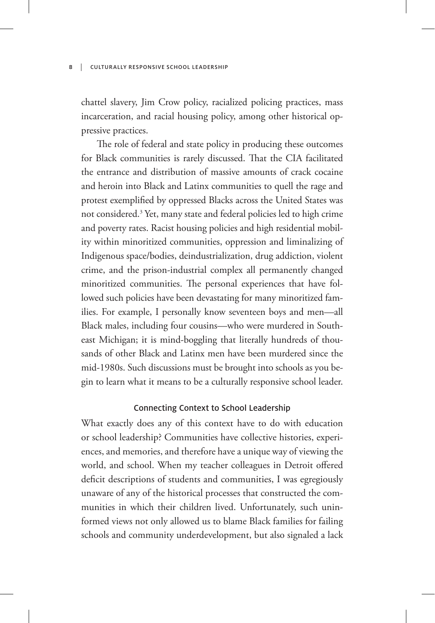chattel slavery, Jim Crow policy, racialized policing practices, mass incarceration, and racial housing policy, among other historical oppressive practices.

The role of federal and state policy in producing these outcomes for Black communities is rarely discussed. That the CIA facilitated the entrance and distribution of massive amounts of crack cocaine and heroin into Black and Latinx communities to quell the rage and protest exemplified by oppressed Blacks across the United States was not considered.3 Yet, many state and federal policies led to high crime and poverty rates. Racist housing policies and high residential mobility within minoritized communities, oppression and liminalizing of Indigenous space/bodies, deindustrialization, drug addiction, violent crime, and the prison-industrial complex all permanently changed minoritized communities. The personal experiences that have followed such policies have been devastating for many minoritized families. For example, I personally know seventeen boys and men—all Black males, including four cousins—who were murdered in Southeast Michigan; it is mind-boggling that literally hundreds of thousands of other Black and Latinx men have been murdered since the mid-1980s. Such discussions must be brought into schools as you begin to learn what it means to be a culturally responsive school leader.

### Connecting Context to School Leadership

What exactly does any of this context have to do with education or school leadership? Communities have collective histories, experiences, and memories, and therefore have a unique way of viewing the world, and school. When my teacher colleagues in Detroit offered deficit descriptions of students and communities, I was egregiously unaware of any of the historical processes that constructed the communities in which their children lived. Unfortunately, such uninformed views not only allowed us to blame Black families for failing schools and community underdevelopment, but also signaled a lack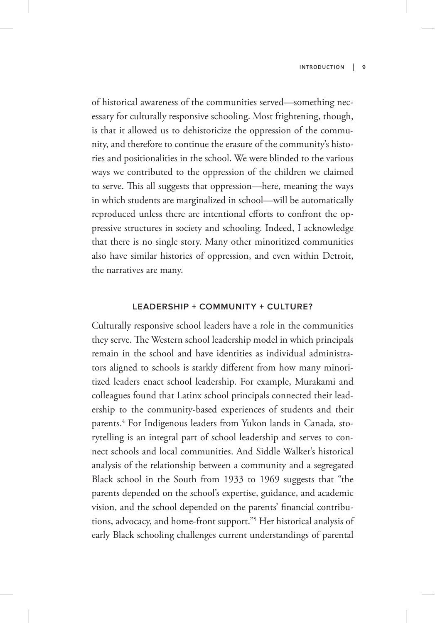of historical awareness of the communities served—something necessary for culturally responsive schooling. Most frightening, though, is that it allowed us to dehistoricize the oppression of the community, and therefore to continue the erasure of the community's histories and positionalities in the school. We were blinded to the various ways we contributed to the oppression of the children we claimed to serve. This all suggests that oppression—here, meaning the ways in which students are marginalized in school—will be automatically reproduced unless there are intentional efforts to confront the oppressive structures in society and schooling. Indeed, I acknowledge that there is no single story. Many other minoritized communities also have similar histories of oppression, and even within Detroit, the narratives are many.

#### **Leadership + Community + Culture?**

Culturally responsive school leaders have a role in the communities they serve. The Western school leadership model in which principals remain in the school and have identities as individual administrators aligned to schools is starkly different from how many minoritized leaders enact school leadership. For example, Murakami and colleagues found that Latinx school principals connected their leadership to the community-based experiences of students and their parents.4 For Indigenous leaders from Yukon lands in Canada, storytelling is an integral part of school leadership and serves to connect schools and local communities. And Siddle Walker's historical analysis of the relationship between a community and a segregated Black school in the South from 1933 to 1969 suggests that "the parents depended on the school's expertise, guidance, and academic vision, and the school depended on the parents' financial contributions, advocacy, and home-front support."5 Her historical analysis of early Black schooling challenges current understandings of parental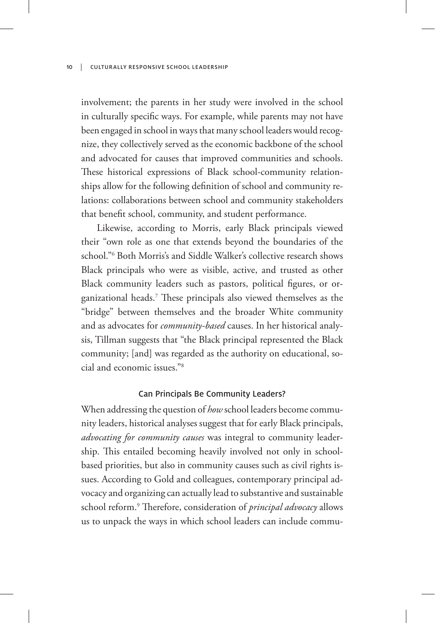involvement; the parents in her study were involved in the school in culturally specific ways. For example, while parents may not have been engaged in school in ways that many school leaders would recognize, they collectively served as the economic backbone of the school and advocated for causes that improved communities and schools. These historical expressions of Black school-community relationships allow for the following definition of school and community relations: collaborations between school and community stakeholders that benefit school, community, and student performance.

Likewise, according to Morris, early Black principals viewed their "own role as one that extends beyond the boundaries of the school."6 Both Morris's and Siddle Walker's collective research shows Black principals who were as visible, active, and trusted as other Black community leaders such as pastors, political figures, or organizational heads.7 These principals also viewed themselves as the "bridge" between themselves and the broader White community and as advocates for *community-based* causes. In her historical analysis, Tillman suggests that "the Black principal represented the Black community; [and] was regarded as the authority on educational, social and economic issues."8

#### Can Principals Be Community Leaders?

When addressing the question of *how* school leaders become community leaders, historical analyses suggest that for early Black principals, *advocating for community causes* was integral to community leadership. This entailed becoming heavily involved not only in schoolbased priorities, but also in community causes such as civil rights issues. According to Gold and colleagues, contemporary principal advocacy and organizing can actually lead to substantive and sustainable school reform.9 Therefore, consideration of *principal advocacy* allows us to unpack the ways in which school leaders can include commu-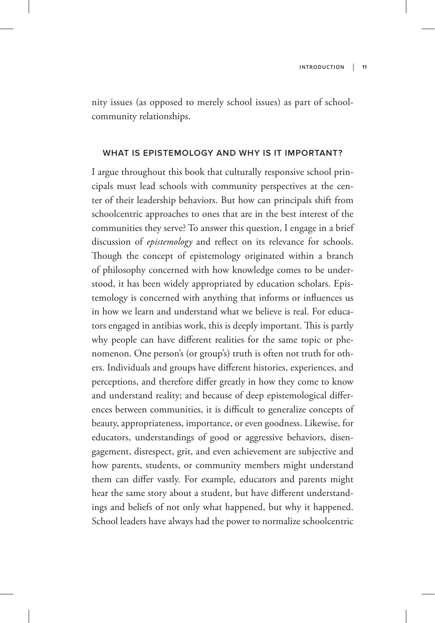nity issues (as opposed to merely school issues) as part of schoolcommunity relationships.

#### **What Is Epistemology and Why Is It Important?**

I argue throughout this book that culturally responsive school principals must lead schools with community perspectives at the center of their leadership behaviors. But how can principals shift from schoolcentric approaches to ones that are in the best interest of the communities they serve? To answer this question, I engage in a brief discussion of *epistemology* and reflect on its relevance for schools. Though the concept of epistemology originated within a branch of philosophy concerned with how knowledge comes to be understood, it has been widely appropriated by education scholars. Epistemology is concerned with anything that informs or influences us in how we learn and understand what we believe is real. For educators engaged in antibias work, this is deeply important. This is partly why people can have different realities for the same topic or phenomenon. One person's (or group's) truth is often not truth for others. Individuals and groups have different histories, experiences, and perceptions, and therefore differ greatly in how they come to know and understand reality; and because of deep epistemological differences between communities, it is difficult to generalize concepts of beauty, appropriateness, importance, or even goodness. Likewise, for educators, understandings of good or aggressive behaviors, disengagement, disrespect, grit, and even achievement are subjective and how parents, students, or community members might understand them can differ vastly. For example, educators and parents might hear the same story about a student, but have different understandings and beliefs of not only what happened, but why it happened. School leaders have always had the power to normalize schoolcentric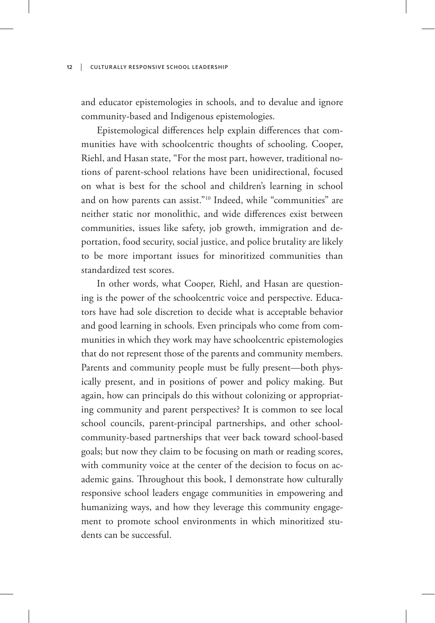and educator epistemologies in schools, and to devalue and ignore community-based and Indigenous epistemologies.

Epistemological differences help explain differences that communities have with schoolcentric thoughts of schooling. Cooper, Riehl, and Hasan state, "For the most part, however, traditional notions of parent-school relations have been unidirectional, focused on what is best for the school and children's learning in school and on how parents can assist."10 Indeed, while "communities" are neither static nor monolithic, and wide differences exist between communities, issues like safety, job growth, immigration and deportation, food security, social justice, and police brutality are likely to be more important issues for minoritized communities than standardized test scores.

In other words, what Cooper, Riehl, and Hasan are questioning is the power of the schoolcentric voice and perspective. Educators have had sole discretion to decide what is acceptable behavior and good learning in schools. Even principals who come from communities in which they work may have schoolcentric epistemologies that do not represent those of the parents and community members. Parents and community people must be fully present—both physically present, and in positions of power and policy making. But again, how can principals do this without colonizing or appropriating community and parent perspectives? It is common to see local school councils, parent-principal partnerships, and other schoolcommunity-based partnerships that veer back toward school-based goals; but now they claim to be focusing on math or reading scores, with community voice at the center of the decision to focus on academic gains. Throughout this book, I demonstrate how culturally responsive school leaders engage communities in empowering and humanizing ways, and how they leverage this community engagement to promote school environments in which minoritized students can be successful.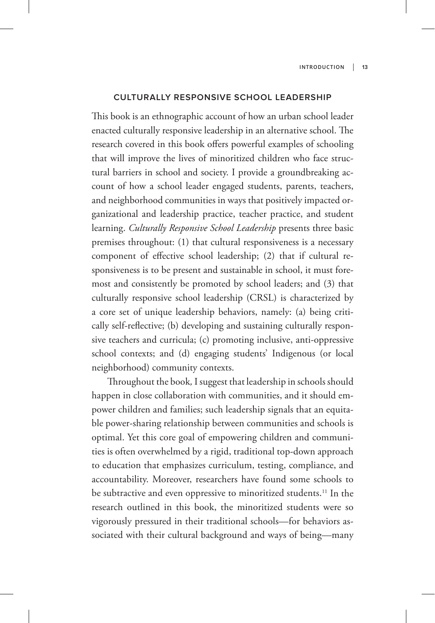#### **Culturally Responsive School Leadership**

This book is an ethnographic account of how an urban school leader enacted culturally responsive leadership in an alternative school. The research covered in this book offers powerful examples of schooling that will improve the lives of minoritized children who face structural barriers in school and society. I provide a groundbreaking account of how a school leader engaged students, parents, teachers, and neighborhood communities in ways that positively impacted organizational and leadership practice, teacher practice, and student learning. *Culturally Responsive School Leadership* presents three basic premises throughout: (1) that cultural responsiveness is a necessary component of effective school leadership; (2) that if cultural responsiveness is to be present and sustainable in school, it must foremost and consistently be promoted by school leaders; and (3) that culturally responsive school leadership (CRSL) is characterized by a core set of unique leadership behaviors, namely: (a) being critically self-reflective; (b) developing and sustaining culturally responsive teachers and curricula; (c) promoting inclusive, anti-oppressive school contexts; and (d) engaging students' Indigenous (or local neighborhood) community contexts.

Throughout the book*,* I suggest that leadership in schools should happen in close collaboration with communities, and it should empower children and families; such leadership signals that an equitable power-sharing relationship between communities and schools is optimal. Yet this core goal of empowering children and communities is often overwhelmed by a rigid, traditional top-down approach to education that emphasizes curriculum, testing, compliance, and accountability. Moreover, researchers have found some schools to be subtractive and even oppressive to minoritized students.<sup>11</sup> In the research outlined in this book, the minoritized students were so vigorously pressured in their traditional schools—for behaviors associated with their cultural background and ways of being—many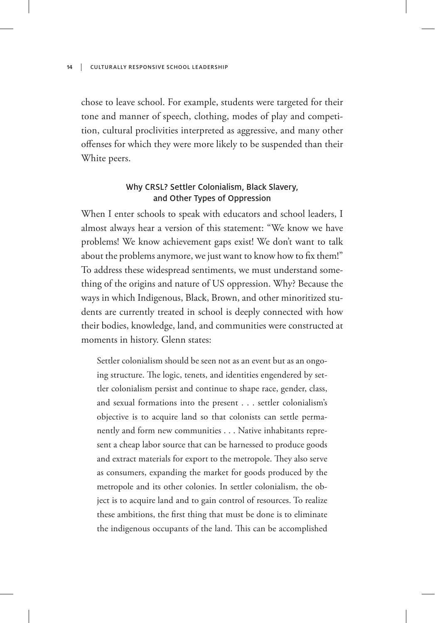chose to leave school. For example, students were targeted for their tone and manner of speech, clothing, modes of play and competition, cultural proclivities interpreted as aggressive, and many other offenses for which they were more likely to be suspended than their White peers.

### Why CRSL? Settler Colonialism, Black Slavery, and Other Types of Oppression

When I enter schools to speak with educators and school leaders, I almost always hear a version of this statement: "We know we have problems! We know achievement gaps exist! We don't want to talk about the problems anymore, we just want to know how to fix them!" To address these widespread sentiments, we must understand something of the origins and nature of US oppression. Why? Because the ways in which Indigenous, Black, Brown, and other minoritized students are currently treated in school is deeply connected with how their bodies, knowledge, land, and communities were constructed at moments in history. Glenn states:

Settler colonialism should be seen not as an event but as an ongoing structure. The logic, tenets, and identities engendered by settler colonialism persist and continue to shape race, gender, class, and sexual formations into the present . . . settler colonialism's objective is to acquire land so that colonists can settle permanently and form new communities . . . Native inhabitants represent a cheap labor source that can be harnessed to produce goods and extract materials for export to the metropole. They also serve as consumers, expanding the market for goods produced by the metropole and its other colonies. In settler colonialism, the object is to acquire land and to gain control of resources. To realize these ambitions, the first thing that must be done is to eliminate the indigenous occupants of the land. This can be accomplished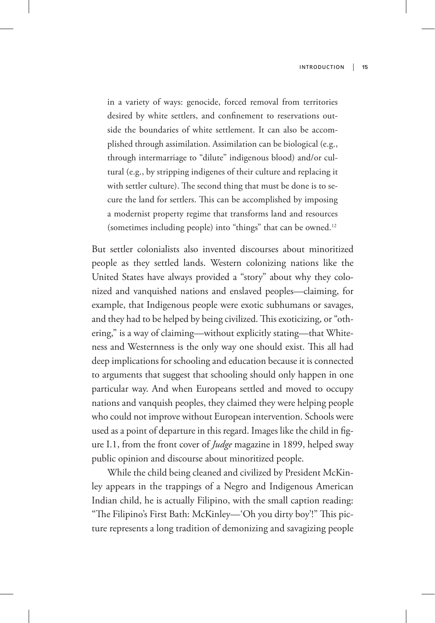in a variety of ways: genocide, forced removal from territories desired by white settlers, and confinement to reservations outside the boundaries of white settlement. It can also be accomplished through assimilation. Assimilation can be biological (e.g., through intermarriage to "dilute" indigenous blood) and/or cultural (e.g., by stripping indigenes of their culture and replacing it with settler culture). The second thing that must be done is to secure the land for settlers. This can be accomplished by imposing a modernist property regime that transforms land and resources (sometimes including people) into "things" that can be owned.12

But settler colonialists also invented discourses about minoritized people as they settled lands. Western colonizing nations like the United States have always provided a "story" about why they colonized and vanquished nations and enslaved peoples—claiming, for example, that Indigenous people were exotic subhumans or savages, and they had to be helped by being civilized. This exoticizing, or "othering," is a way of claiming—without explicitly stating—that Whiteness and Westernness is the only way one should exist. This all had deep implications for schooling and education because it is connected to arguments that suggest that schooling should only happen in one particular way. And when Europeans settled and moved to occupy nations and vanquish peoples, they claimed they were helping people who could not improve without European intervention. Schools were used as a point of departure in this regard. Images like the child in figure I.1, from the front cover of *Judge* magazine in 1899, helped sway public opinion and discourse about minoritized people.

While the child being cleaned and civilized by President McKinley appears in the trappings of a Negro and Indigenous American Indian child, he is actually Filipino, with the small caption reading: "The Filipino's First Bath: McKinley—'Oh you dirty boy'!" This picture represents a long tradition of demonizing and savagizing people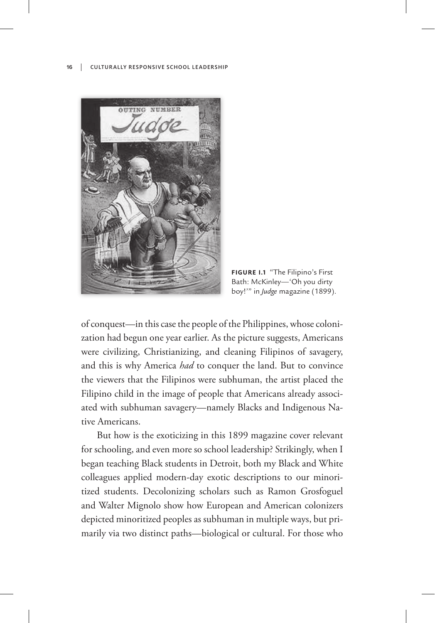

**Figure I.1** "The Filipino's First Bath: McKinley—'Oh you dirty boy!'" in *Judge* magazine (1899).

of conquest—in this case the people of the Philippines, whose colonization had begun one year earlier. As the picture suggests, Americans were civilizing, Christianizing, and cleaning Filipinos of savagery, and this is why America *had* to conquer the land. But to convince the viewers that the Filipinos were subhuman, the artist placed the Filipino child in the image of people that Americans already associated with subhuman savagery—namely Blacks and Indigenous Native Americans.

But how is the exoticizing in this 1899 magazine cover relevant for schooling, and even more so school leadership? Strikingly, when I began teaching Black students in Detroit, both my Black and White colleagues applied modern-day exotic descriptions to our minoritized students. Decolonizing scholars such as Ramon Grosfoguel and Walter Mignolo show how European and American colonizers depicted minoritized peoples as subhuman in multiple ways, but primarily via two distinct paths—biological or cultural. For those who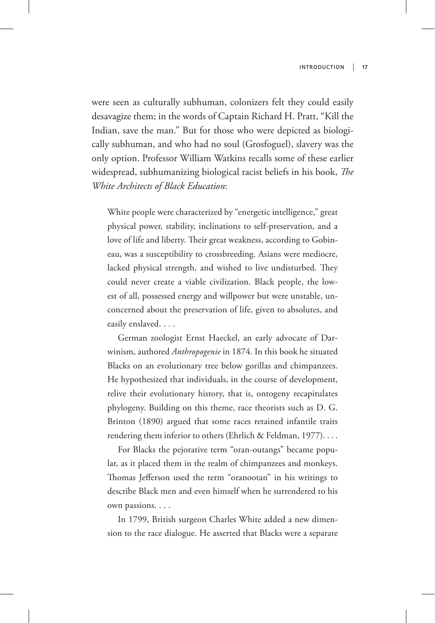were seen as culturally subhuman, colonizers felt they could easily desavagize them; in the words of Captain Richard H. Pratt, "Kill the Indian, save the man." But for those who were depicted as biologically subhuman, and who had no soul (Grosfoguel), slavery was the only option. Professor William Watkins recalls some of these earlier widespread, subhumanizing biological racist beliefs in his book, *The White Architects of Black Education*:

White people were characterized by "energetic intelligence," great physical power, stability, inclinations to self-preservation, and a love of life and liberty. Their great weakness, according to Gobineau, was a susceptibility to crossbreeding. Asians were mediocre, lacked physical strength, and wished to live undisturbed. They could never create a viable civilization. Black people, the lowest of all, possessed energy and willpower but were unstable, unconcerned about the preservation of life, given to absolutes, and easily enslaved. . . .

German zoologist Ernst Haeckel, an early advocate of Darwinism, authored *Anthropogenie* in 1874. In this book he situated Blacks on an evolutionary tree below gorillas and chimpanzees. He hypothesized that individuals, in the course of development, relive their evolutionary history, that is, ontogeny recapitulates phylogeny. Building on this theme, race theorists such as D. G. Brinton (1890) argued that some races retained infantile traits rendering them inferior to others (Ehrlich & Feldman, 1977). . . .

For Blacks the pejorative term "oran-outangs" became popular, as it placed them in the realm of chimpanzees and monkeys. Thomas Jefferson used the term "oranootan" in his writings to describe Black men and even himself when he surrendered to his own passions. . . .

In 1799, British surgeon Charles White added a new dimension to the race dialogue. He asserted that Blacks were a separate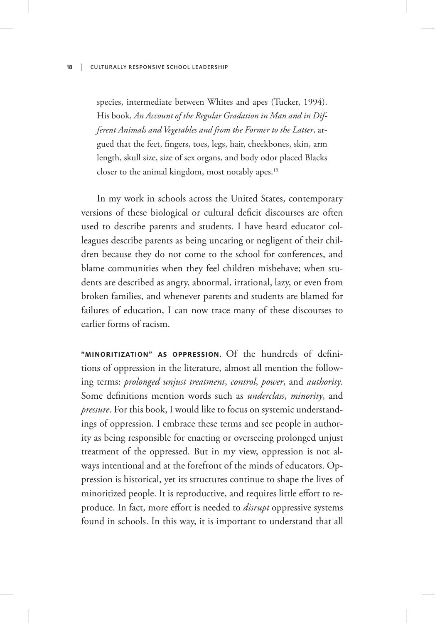species, intermediate between Whites and apes (Tucker, 1994). His book, *An Account of the Regular Gradation in Man and in Different Animals and Vegetables and from the Former to the Latter*, argued that the feet, fingers, toes, legs, hair, cheekbones, skin, arm length, skull size, size of sex organs, and body odor placed Blacks closer to the animal kingdom, most notably apes.<sup>13</sup>

In my work in schools across the United States, contemporary versions of these biological or cultural deficit discourses are often used to describe parents and students. I have heard educator colleagues describe parents as being uncaring or negligent of their children because they do not come to the school for conferences, and blame communities when they feel children misbehave; when students are described as angry, abnormal, irrational, lazy, or even from broken families, and whenever parents and students are blamed for failures of education, I can now trace many of these discourses to earlier forms of racism.

**"Minoritization" as oppression.** Of the hundreds of definitions of oppression in the literature, almost all mention the following terms: *prolonged unjust treatment*, *control*, *power*, and *authority*. Some definitions mention words such as *underclass*, *minority*, and *pressure*. For this book, I would like to focus on systemic understandings of oppression. I embrace these terms and see people in authority as being responsible for enacting or overseeing prolonged unjust treatment of the oppressed. But in my view, oppression is not always intentional and at the forefront of the minds of educators. Oppression is historical, yet its structures continue to shape the lives of minoritized people. It is reproductive, and requires little effort to reproduce. In fact, more effort is needed to *disrupt* oppressive systems found in schools. In this way, it is important to understand that all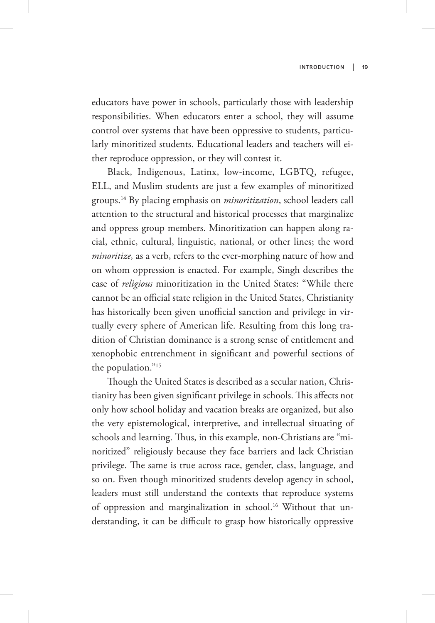educators have power in schools, particularly those with leadership responsibilities. When educators enter a school, they will assume control over systems that have been oppressive to students, particularly minoritized students. Educational leaders and teachers will either reproduce oppression, or they will contest it.

Black, Indigenous, Latinx, low-income, LGBTQ, refugee, ELL, and Muslim students are just a few examples of minoritized groups.14 By placing emphasis on *minoritization*, school leaders call attention to the structural and historical processes that marginalize and oppress group members. Minoritization can happen along racial, ethnic, cultural, linguistic, national, or other lines; the word *minoritize,* as a verb, refers to the ever-morphing nature of how and on whom oppression is enacted. For example, Singh describes the case of *religious* minoritization in the United States: "While there cannot be an official state religion in the United States, Christianity has historically been given unofficial sanction and privilege in virtually every sphere of American life. Resulting from this long tradition of Christian dominance is a strong sense of entitlement and xenophobic entrenchment in significant and powerful sections of the population."15

Though the United States is described as a secular nation, Christianity has been given significant privilege in schools. This affects not only how school holiday and vacation breaks are organized, but also the very epistemological, interpretive, and intellectual situating of schools and learning. Thus, in this example, non-Christians are "minoritized" religiously because they face barriers and lack Christian privilege. The same is true across race, gender, class, language, and so on. Even though minoritized students develop agency in school, leaders must still understand the contexts that reproduce systems of oppression and marginalization in school.<sup>16</sup> Without that understanding, it can be difficult to grasp how historically oppressive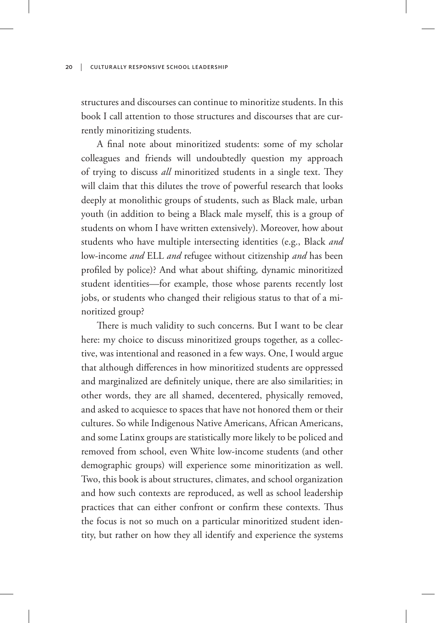structures and discourses can continue to minoritize students. In this book I call attention to those structures and discourses that are currently minoritizing students.

A final note about minoritized students: some of my scholar colleagues and friends will undoubtedly question my approach of trying to discuss *all* minoritized students in a single text. They will claim that this dilutes the trove of powerful research that looks deeply at monolithic groups of students, such as Black male, urban youth (in addition to being a Black male myself, this is a group of students on whom I have written extensively). Moreover, how about students who have multiple intersecting identities (e.g., Black *and*  low-income *and* ELL *and* refugee without citizenship *and* has been profiled by police)? And what about shifting*,* dynamic minoritized student identities—for example, those whose parents recently lost jobs, or students who changed their religious status to that of a minoritized group?

There is much validity to such concerns. But I want to be clear here: my choice to discuss minoritized groups together, as a collective, was intentional and reasoned in a few ways. One, I would argue that although differences in how minoritized students are oppressed and marginalized are definitely unique, there are also similarities; in other words, they are all shamed, decentered, physically removed, and asked to acquiesce to spaces that have not honored them or their cultures. So while Indigenous Native Americans, African Americans, and some Latinx groups are statistically more likely to be policed and removed from school, even White low-income students (and other demographic groups) will experience some minoritization as well. Two, this book is about structures, climates, and school organization and how such contexts are reproduced, as well as school leadership practices that can either confront or confirm these contexts. Thus the focus is not so much on a particular minoritized student identity, but rather on how they all identify and experience the systems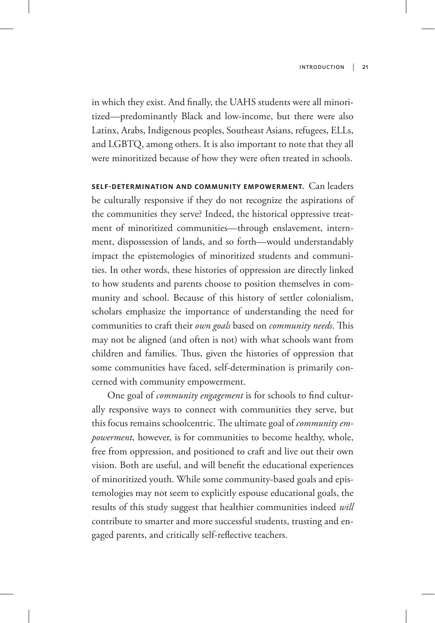in which they exist. And finally, the UAHS students were all minoritized—predominantly Black and low-income, but there were also Latinx, Arabs, Indigenous peoples, Southeast Asians, refugees, ELLs, and LGBTQ, among others. It is also important to note that they all were minoritized because of how they were often treated in schools.

**Self-determination and community empowerment.** Can leaders be culturally responsive if they do not recognize the aspirations of the communities they serve? Indeed, the historical oppressive treatment of minoritized communities—through enslavement, internment, dispossession of lands, and so forth—would understandably impact the epistemologies of minoritized students and communities. In other words, these histories of oppression are directly linked to how students and parents choose to position themselves in community and school. Because of this history of settler colonialism, scholars emphasize the importance of understanding the need for communities to craft their *own goals* based on *community needs*. This may not be aligned (and often is not) with what schools want from children and families. Thus, given the histories of oppression that some communities have faced, self-determination is primarily concerned with community empowerment.

One goal of *community engagement* is for schools to find culturally responsive ways to connect with communities they serve, but this focus remains schoolcentric. The ultimate goal of *community empowerment*, however, is for communities to become healthy, whole, free from oppression, and positioned to craft and live out their own vision. Both are useful, and will benefit the educational experiences of minoritized youth. While some community-based goals and epistemologies may not seem to explicitly espouse educational goals, the results of this study suggest that healthier communities indeed *will*  contribute to smarter and more successful students, trusting and engaged parents, and critically self-reflective teachers.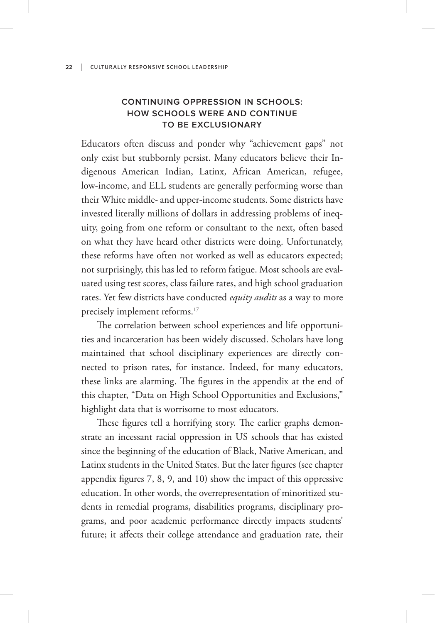### **Continuing Oppression in Schools: How Schools Were and Continue to Be Exclusionary**

Educators often discuss and ponder why "achievement gaps" not only exist but stubbornly persist. Many educators believe their Indigenous American Indian, Latinx, African American, refugee, low-income, and ELL students are generally performing worse than their White middle- and upper-income students. Some districts have invested literally millions of dollars in addressing problems of inequity, going from one reform or consultant to the next, often based on what they have heard other districts were doing. Unfortunately, these reforms have often not worked as well as educators expected; not surprisingly, this has led to reform fatigue. Most schools are evaluated using test scores, class failure rates, and high school graduation rates. Yet few districts have conducted *equity audits* as a way to more precisely implement reforms.17

The correlation between school experiences and life opportunities and incarceration has been widely discussed. Scholars have long maintained that school disciplinary experiences are directly connected to prison rates, for instance. Indeed, for many educators, these links are alarming. The figures in the appendix at the end of this chapter, "Data on High School Opportunities and Exclusions," highlight data that is worrisome to most educators.

These figures tell a horrifying story. The earlier graphs demonstrate an incessant racial oppression in US schools that has existed since the beginning of the education of Black, Native American, and Latinx students in the United States. But the later figures (see chapter appendix figures 7, 8, 9, and 10) show the impact of this oppressive education. In other words, the overrepresentation of minoritized students in remedial programs, disabilities programs, disciplinary programs, and poor academic performance directly impacts students' future; it affects their college attendance and graduation rate, their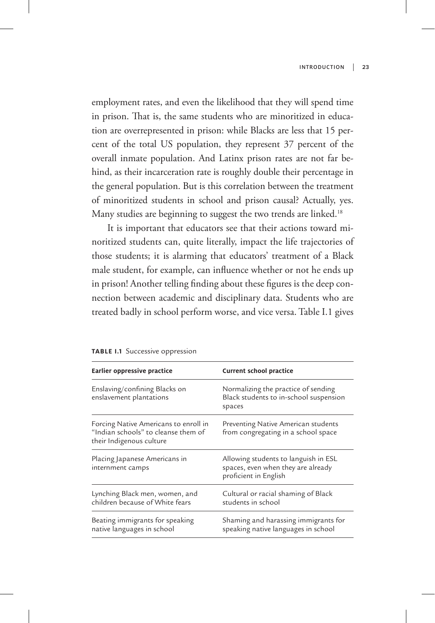employment rates, and even the likelihood that they will spend time in prison. That is, the same students who are minoritized in education are overrepresented in prison: while Blacks are less that 15 percent of the total US population, they represent 37 percent of the overall inmate population. And Latinx prison rates are not far behind, as their incarceration rate is roughly double their percentage in the general population. But is this correlation between the treatment of minoritized students in school and prison causal? Actually, yes. Many studies are beginning to suggest the two trends are linked.<sup>18</sup>

It is important that educators see that their actions toward minoritized students can, quite literally, impact the life trajectories of those students; it is alarming that educators' treatment of a Black male student, for example, can influence whether or not he ends up in prison! Another telling finding about these figures is the deep connection between academic and disciplinary data. Students who are treated badly in school perform worse, and vice versa. Table I.1 gives

| Earlier oppressive practice                                                                              | <b>Current school practice</b>                                                                      |
|----------------------------------------------------------------------------------------------------------|-----------------------------------------------------------------------------------------------------|
| Enslaving/confining Blacks on<br>enslavement plantations                                                 | Normalizing the practice of sending<br>Black students to in-school suspension<br>spaces             |
| Forcing Native Americans to enroll in<br>"Indian schools" to cleanse them of<br>their Indigenous culture | Preventing Native American students<br>from congregating in a school space                          |
| Placing Japanese Americans in<br>internment camps                                                        | Allowing students to languish in ESL<br>spaces, even when they are already<br>proficient in English |
| Lynching Black men, women, and<br>children because of White fears                                        | Cultural or racial shaming of Black<br>students in school                                           |
| Beating immigrants for speaking<br>native languages in school                                            | Shaming and harassing immigrants for<br>speaking native languages in school                         |

#### **Table I.1** Successive oppression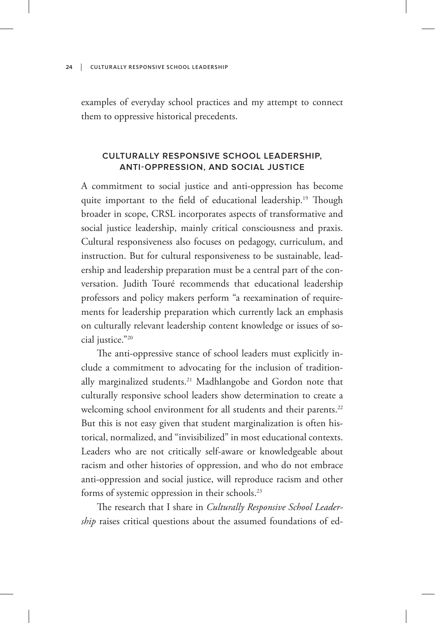examples of everyday school practices and my attempt to connect them to oppressive historical precedents.

### **Culturally Responsive School Leadership, Anti-Oppression, and Social Justice**

A commitment to social justice and anti-oppression has become quite important to the field of educational leadership.<sup>19</sup> Though broader in scope, CRSL incorporates aspects of transformative and social justice leadership, mainly critical consciousness and praxis. Cultural responsiveness also focuses on pedagogy, curriculum, and instruction. But for cultural responsiveness to be sustainable, leadership and leadership preparation must be a central part of the conversation. Judith Touré recommends that educational leadership professors and policy makers perform "a reexamination of requirements for leadership preparation which currently lack an emphasis on culturally relevant leadership content knowledge or issues of social justice."20

The anti-oppressive stance of school leaders must explicitly include a commitment to advocating for the inclusion of traditionally marginalized students.<sup>21</sup> Madhlangobe and Gordon note that culturally responsive school leaders show determination to create a welcoming school environment for all students and their parents.<sup>22</sup> But this is not easy given that student marginalization is often historical, normalized, and "invisibilized" in most educational contexts. Leaders who are not critically self-aware or knowledgeable about racism and other histories of oppression, and who do not embrace anti-oppression and social justice, will reproduce racism and other forms of systemic oppression in their schools.23

The research that I share in *Culturally Responsive School Leadership* raises critical questions about the assumed foundations of ed-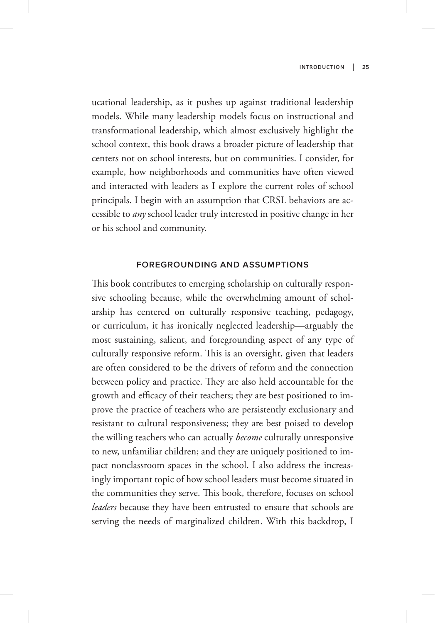ucational leadership, as it pushes up against traditional leadership models. While many leadership models focus on instructional and transformational leadership, which almost exclusively highlight the school context, this book draws a broader picture of leadership that centers not on school interests, but on communities. I consider, for example, how neighborhoods and communities have often viewed and interacted with leaders as I explore the current roles of school principals. I begin with an assumption that CRSL behaviors are accessible to *any* school leader truly interested in positive change in her or his school and community.

### **Foregrounding and Assumptions**

This book contributes to emerging scholarship on culturally responsive schooling because, while the overwhelming amount of scholarship has centered on culturally responsive teaching, pedagogy, or curriculum, it has ironically neglected leadership—arguably the most sustaining, salient, and foregrounding aspect of any type of culturally responsive reform. This is an oversight, given that leaders are often considered to be the drivers of reform and the connection between policy and practice. They are also held accountable for the growth and efficacy of their teachers; they are best positioned to improve the practice of teachers who are persistently exclusionary and resistant to cultural responsiveness; they are best poised to develop the willing teachers who can actually *become* culturally unresponsive to new, unfamiliar children; and they are uniquely positioned to impact nonclassroom spaces in the school. I also address the increasingly important topic of how school leaders must become situated in the communities they serve. This book, therefore, focuses on school *leaders* because they have been entrusted to ensure that schools are serving the needs of marginalized children. With this backdrop, I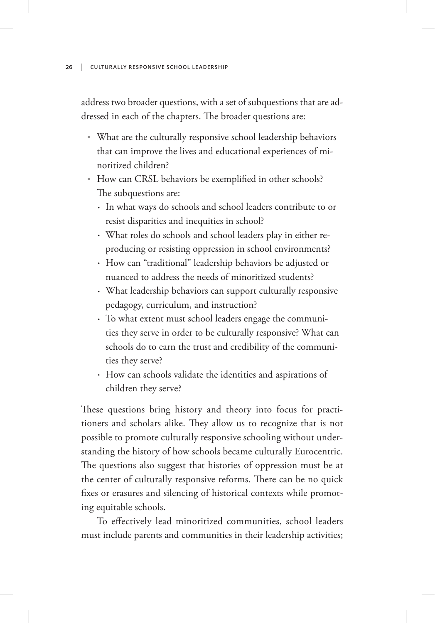address two broader questions, with a set of subquestions that are addressed in each of the chapters. The broader questions are:

- • What are the culturally responsive school leadership behaviors that can improve the lives and educational experiences of minoritized children?
- • How can CRSL behaviors be exemplified in other schools? The subquestions are:
	- • In what ways do schools and school leaders contribute to or resist disparities and inequities in school?
	- • What roles do schools and school leaders play in either reproducing or resisting oppression in school environments?
	- • How can "traditional" leadership behaviors be adjusted or nuanced to address the needs of minoritized students?
	- • What leadership behaviors can support culturally responsive pedagogy, curriculum, and instruction?
	- • To what extent must school leaders engage the communities they serve in order to be culturally responsive? What can schools do to earn the trust and credibility of the communities they serve?
	- • How can schools validate the identities and aspirations of children they serve?

These questions bring history and theory into focus for practitioners and scholars alike. They allow us to recognize that is not possible to promote culturally responsive schooling without understanding the history of how schools became culturally Eurocentric. The questions also suggest that histories of oppression must be at the center of culturally responsive reforms. There can be no quick fixes or erasures and silencing of historical contexts while promoting equitable schools.

To effectively lead minoritized communities, school leaders must include parents and communities in their leadership activities;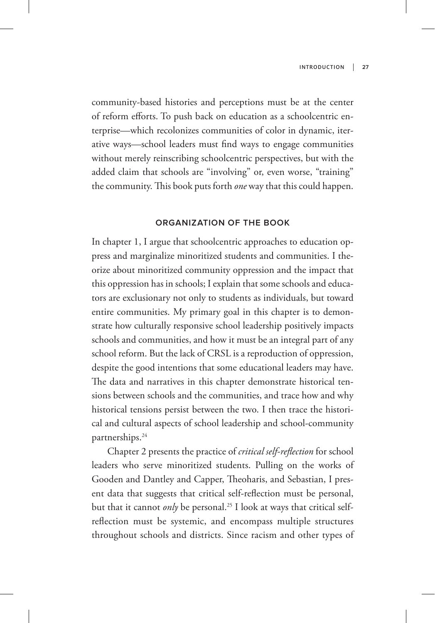community-based histories and perceptions must be at the center of reform efforts. To push back on education as a schoolcentric enterprise—which recolonizes communities of color in dynamic, iterative ways—school leaders must find ways to engage communities without merely reinscribing schoolcentric perspectives, but with the added claim that schools are "involving" or, even worse, "training" the community. This book puts forth *one* way that this could happen.

### **Organization of the Book**

In chapter 1, I argue that schoolcentric approaches to education oppress and marginalize minoritized students and communities. I theorize about minoritized community oppression and the impact that this oppression has in schools; I explain that some schools and educators are exclusionary not only to students as individuals, but toward entire communities. My primary goal in this chapter is to demonstrate how culturally responsive school leadership positively impacts schools and communities, and how it must be an integral part of any school reform. But the lack of CRSL is a reproduction of oppression, despite the good intentions that some educational leaders may have. The data and narratives in this chapter demonstrate historical tensions between schools and the communities, and trace how and why historical tensions persist between the two. I then trace the historical and cultural aspects of school leadership and school-community partnerships.<sup>24</sup>

Chapter 2 presents the practice of *critical self-reflection* for school leaders who serve minoritized students. Pulling on the works of Gooden and Dantley and Capper, Theoharis, and Sebastian, I present data that suggests that critical self-reflection must be personal, but that it cannot *only* be personal.<sup>25</sup> I look at ways that critical selfreflection must be systemic, and encompass multiple structures throughout schools and districts. Since racism and other types of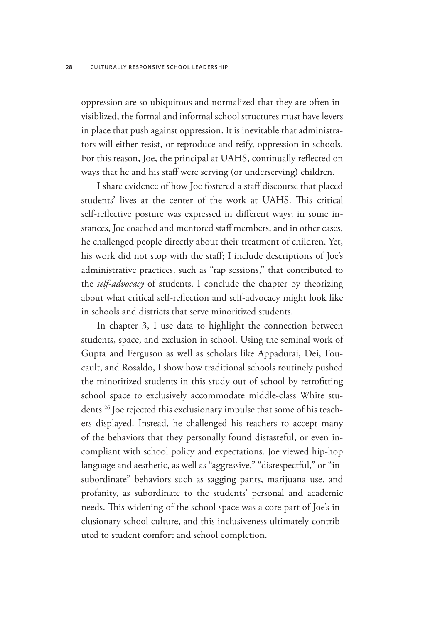oppression are so ubiquitous and normalized that they are often invisiblized, the formal and informal school structures must have levers in place that push against oppression. It is inevitable that administrators will either resist, or reproduce and reify, oppression in schools. For this reason, Joe, the principal at UAHS, continually reflected on ways that he and his staff were serving (or underserving) children.

I share evidence of how Joe fostered a staff discourse that placed students' lives at the center of the work at UAHS. This critical self-reflective posture was expressed in different ways; in some instances, Joe coached and mentored staff members, and in other cases, he challenged people directly about their treatment of children. Yet, his work did not stop with the staff; I include descriptions of Joe's administrative practices, such as "rap sessions," that contributed to the *self-advocacy* of students. I conclude the chapter by theorizing about what critical self-reflection and self-advocacy might look like in schools and districts that serve minoritized students.

In chapter 3, I use data to highlight the connection between students, space, and exclusion in school. Using the seminal work of Gupta and Ferguson as well as scholars like Appadurai, Dei, Foucault, and Rosaldo, I show how traditional schools routinely pushed the minoritized students in this study out of school by retrofitting school space to exclusively accommodate middle-class White students.26 Joe rejected this exclusionary impulse that some of his teachers displayed. Instead, he challenged his teachers to accept many of the behaviors that they personally found distasteful, or even incompliant with school policy and expectations. Joe viewed hip-hop language and aesthetic, as well as "aggressive," "disrespectful," or "insubordinate" behaviors such as sagging pants, marijuana use, and profanity, as subordinate to the students' personal and academic needs. This widening of the school space was a core part of Joe's inclusionary school culture, and this inclusiveness ultimately contributed to student comfort and school completion.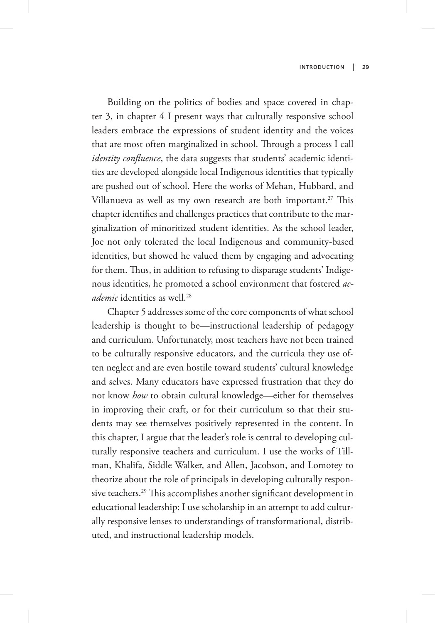Building on the politics of bodies and space covered in chapter 3, in chapter 4 I present ways that culturally responsive school leaders embrace the expressions of student identity and the voices that are most often marginalized in school. Through a process I call *identity confluence*, the data suggests that students' academic identities are developed alongside local Indigenous identities that typically are pushed out of school. Here the works of Mehan, Hubbard, and Villanueva as well as my own research are both important.<sup>27</sup> This chapter identifies and challenges practices that contribute to the marginalization of minoritized student identities. As the school leader, Joe not only tolerated the local Indigenous and community-based identities, but showed he valued them by engaging and advocating for them. Thus, in addition to refusing to disparage students' Indigenous identities, he promoted a school environment that fostered *academic* identities as well.<sup>28</sup>

Chapter 5 addresses some of the core components of what school leadership is thought to be—instructional leadership of pedagogy and curriculum. Unfortunately, most teachers have not been trained to be culturally responsive educators, and the curricula they use often neglect and are even hostile toward students' cultural knowledge and selves. Many educators have expressed frustration that they do not know *how* to obtain cultural knowledge—either for themselves in improving their craft, or for their curriculum so that their students may see themselves positively represented in the content. In this chapter, I argue that the leader's role is central to developing culturally responsive teachers and curriculum. I use the works of Tillman, Khalifa, Siddle Walker, and Allen, Jacobson, and Lomotey to theorize about the role of principals in developing culturally responsive teachers.29 This accomplishes another significant development in educational leadership: I use scholarship in an attempt to add culturally responsive lenses to understandings of transformational, distributed, and instructional leadership models.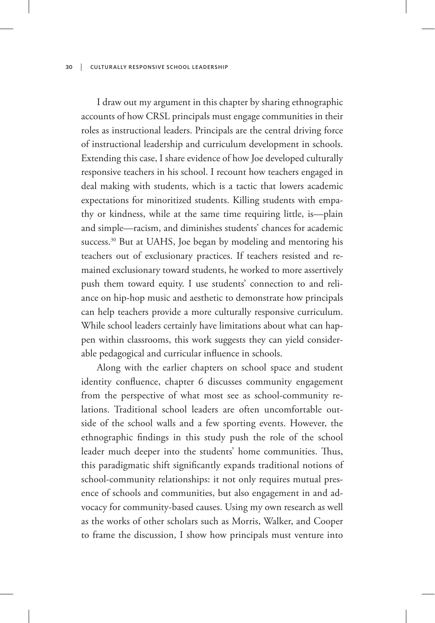I draw out my argument in this chapter by sharing ethnographic accounts of how CRSL principals must engage communities in their roles as instructional leaders. Principals are the central driving force of instructional leadership and curriculum development in schools. Extending this case, I share evidence of how Joe developed culturally responsive teachers in his school. I recount how teachers engaged in deal making with students, which is a tactic that lowers academic expectations for minoritized students. Killing students with empathy or kindness, while at the same time requiring little, is—plain and simple—racism, and diminishes students' chances for academic success.<sup>30</sup> But at UAHS, Joe began by modeling and mentoring his teachers out of exclusionary practices. If teachers resisted and remained exclusionary toward students, he worked to more assertively push them toward equity. I use students' connection to and reliance on hip-hop music and aesthetic to demonstrate how principals can help teachers provide a more culturally responsive curriculum. While school leaders certainly have limitations about what can happen within classrooms, this work suggests they can yield considerable pedagogical and curricular influence in schools.

Along with the earlier chapters on school space and student identity confluence, chapter 6 discusses community engagement from the perspective of what most see as school-community relations. Traditional school leaders are often uncomfortable outside of the school walls and a few sporting events. However, the ethnographic findings in this study push the role of the school leader much deeper into the students' home communities. Thus, this paradigmatic shift significantly expands traditional notions of school-community relationships: it not only requires mutual presence of schools and communities, but also engagement in and advocacy for community-based causes. Using my own research as well as the works of other scholars such as Morris, Walker, and Cooper to frame the discussion, I show how principals must venture into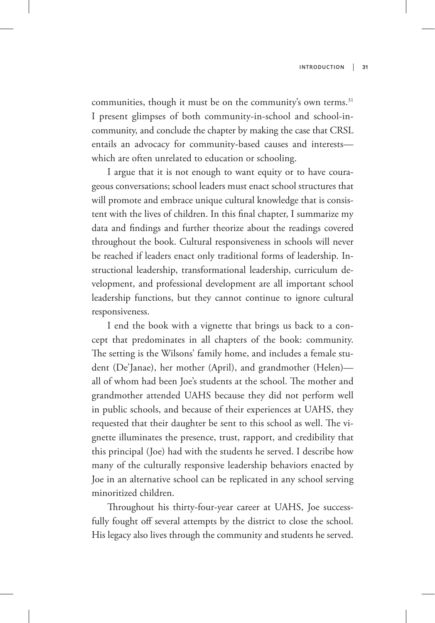communities, though it must be on the community's own terms.<sup>31</sup> I present glimpses of both community-in-school and school-incommunity, and conclude the chapter by making the case that CRSL entails an advocacy for community-based causes and interests which are often unrelated to education or schooling.

I argue that it is not enough to want equity or to have courageous conversations; school leaders must enact school structures that will promote and embrace unique cultural knowledge that is consistent with the lives of children. In this final chapter, I summarize my data and findings and further theorize about the readings covered throughout the book. Cultural responsiveness in schools will never be reached if leaders enact only traditional forms of leadership. Instructional leadership, transformational leadership, curriculum development, and professional development are all important school leadership functions, but they cannot continue to ignore cultural responsiveness.

I end the book with a vignette that brings us back to a concept that predominates in all chapters of the book: community. The setting is the Wilsons' family home, and includes a female student (De'Janae), her mother (April), and grandmother (Helen) all of whom had been Joe's students at the school. The mother and grandmother attended UAHS because they did not perform well in public schools, and because of their experiences at UAHS, they requested that their daughter be sent to this school as well. The vignette illuminates the presence, trust, rapport, and credibility that this principal (Joe) had with the students he served. I describe how many of the culturally responsive leadership behaviors enacted by Joe in an alternative school can be replicated in any school serving minoritized children.

Throughout his thirty-four-year career at UAHS, Joe successfully fought off several attempts by the district to close the school. His legacy also lives through the community and students he served.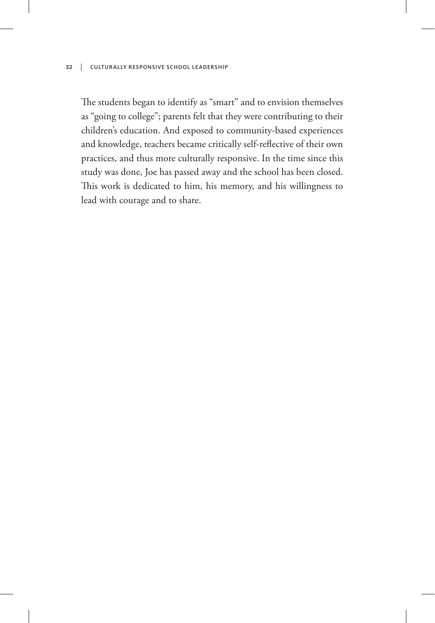#### **32** Culturally Responsive School Leadership

The students began to identify as "smart" and to envision themselves as "going to college"; parents felt that they were contributing to their children's education. And exposed to community-based experiences and knowledge, teachers became critically self-reflective of their own practices, and thus more culturally responsive. In the time since this study was done, Joe has passed away and the school has been closed. This work is dedicated to him, his memory, and his willingness to lead with courage and to share.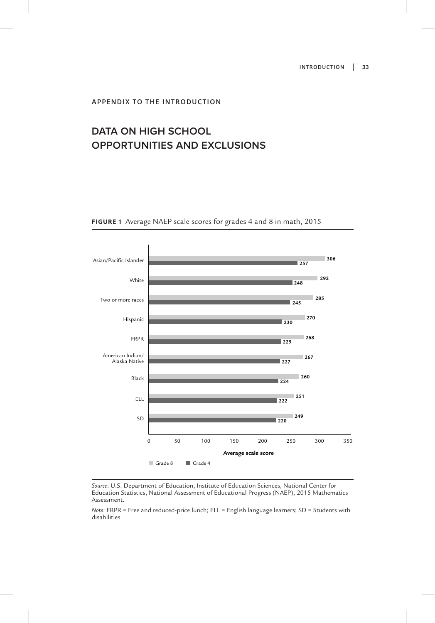#### Appendix to the Introduction

## **Data on High School Opportunities and Exclusions**

#### **Figure 1** Average NAEP scale scores for grades 4 and 8 in math, 2015



*Source*: U.S. Department of Education, Institute of Education Sciences, National Center for Education Statistics, National Assessment of Educational Progress (NAEP), 2015 Mathematics Assessment.

*Note*: FRPR = Free and reduced-price lunch; ELL = English language learners; SD = Students with disabilities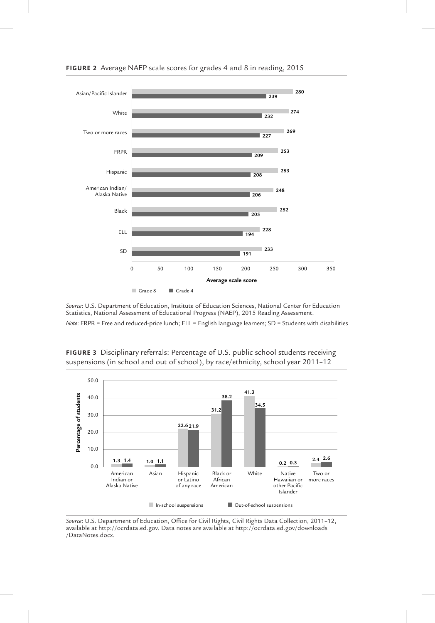

*Source*: U.S. Department of Education, Institute of Education Sciences, National Center for Education Statistics, National Assessment of Educational Progress (NAEP), 2015 Reading Assessment. *Note*: FRPR = Free and reduced-price lunch; ELL = English language learners; SD = Students with disabilities



**Figure 3** Disciplinary referrals: Percentage of U.S. public school students receiving suspensions (in school and out of school), by race/ethnicity, school year 2011–12

*Source*: U.S. Department of Education, Office for Civil Rights, Civil Rights Data Collection, 2011–12, available at http://ocrdata.ed.gov. Data notes are available at http://ocrdata.ed.gov/downloads /DataNotes.docx.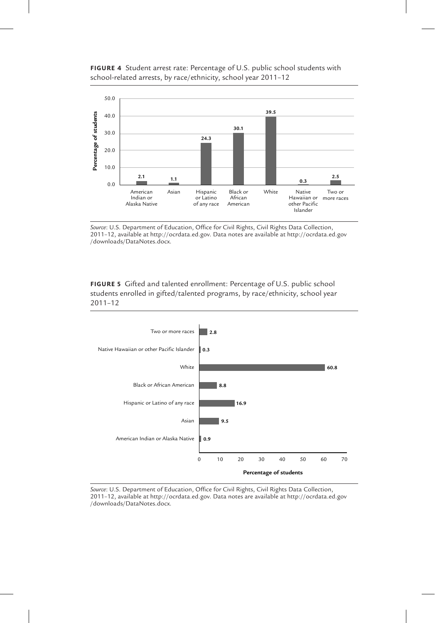



*Source*: U.S. Department of Education, Office for Civil Rights, Civil Rights Data Collection, 2011–12, available at http://ocrdata.ed.gov. Data notes are available at http://ocrdata.ed.gov /downloads/DataNotes.docx.

**Figure 5** Gifted and talented enrollment: Percentage of U.S. public school students enrolled in gifted/talented programs, by race/ethnicity, school year 2011–12



*Source*: U.S. Department of Education, Office for Civil Rights, Civil Rights Data Collection, 2011–12, available at http://ocrdata.ed.gov. Data notes are available at http://ocrdata.ed.gov /downloads/DataNotes.docx.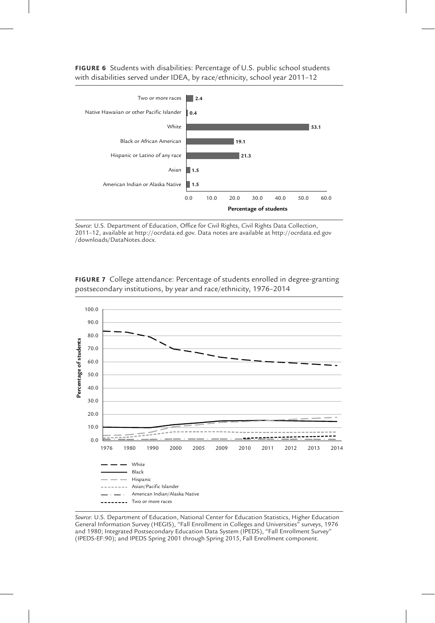

*Source*: U.S. Department of Education, Office for Civil Rights, Civil Rights Data Collection, 2011–12, available at http://ocrdata.ed.gov. Data notes are available at http://ocrdata.ed.gov /downloads/DataNotes.docx.



**Figure 7** College attendance: Percentage of students enrolled in degree-granting postsecondary institutions, by year and race/ethnicity, 1976–2014

*Source*: U.S. Department of Education, National Center for Education Statistics, Higher Education General Information Survey (HEGIS), "Fall Enrollment in Colleges and Universities" surveys, 1976 and 1980; Integrated Postsecondary Education Data System (IPEDS), "Fall Enrollment Survey" (IPEDS-EF:90); and IPEDS Spring 2001 through Spring 2015, Fall Enrollment component.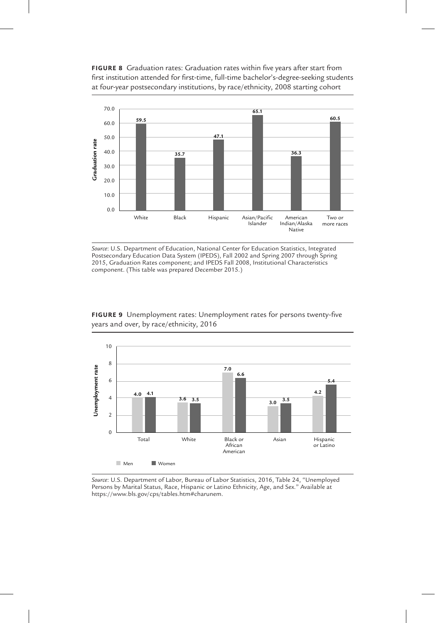**Figure 8** Graduation rates: Graduation rates within five years after start from first institution attended for first-time, full-time bachelor's-degree-seeking students at four-year postsecondary institutions, by race/ethnicity, 2008 starting cohort



*Source*: U.S. Department of Education, National Center for Education Statistics, Integrated Postsecondary Education Data System (IPEDS), Fall 2002 and Spring 2007 through Spring 2015, Graduation Rates component; and IPEDS Fall 2008, Institutional Characteristics component. (This table was prepared December 2015.)





*Source*: U.S. Department of Labor, Bureau of Labor Statistics, 2016, Table 24, "Unemployed Persons by Marital Status, Race, Hispanic or Latino Ethnicity, Age, and Sex." Available at https://www.bls.gov/cps/tables.htm#charunem.